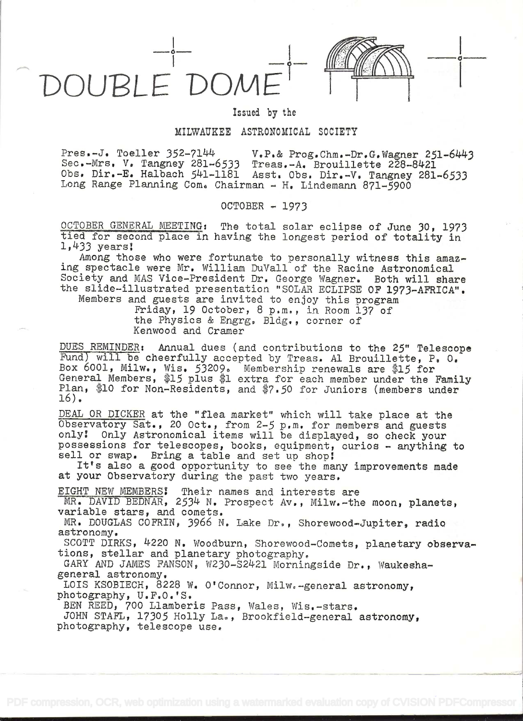OUBLE DON

ik a shekarar 1990

## Issued by the

## MILWAUKEE ASTRONOMICAL SOCIETY

Pres.-J. Toeller  $352-7144$  V.P.& Prog.Chm.-Dr.G.Wagner  $251-6443$ Sec.-Mrs. V. Tangney 281-6533 Treas.-A. Brouillette 228-8421 Obs. Dir.-E. Halbach 541-1181 Asst. Obs. Dir.-V. Tangney 281-6533 Long Range Planning Com. Chairman - H. Lindemann 871-5900

OCTOBER - 1973

OCTOBER GENERAL MEETING: The total solar eclipse of June 30, 1973 tied for second place in having the longest period of totality in  $1,433$  years!

Among those who were fortunate to personally witness this amaz- ing spectacle were Mr. William DuVall of the Racine Astronomical Society and MAS Vice-President Dr. George Wagner. Both will share the slide-illustrated presentation "SOLAR ECLIPSE OF 1973-AFRICA".

Members and guests are invited to enjoy this program Friday, 19 October, 8 p.m, in Room 137 of the Physics & Engrg, Bldg., corner of Kenwood and Cramer

DUES REMINDER: Annual dues (and contributions to the 25" Telescope Fund) will be cheerfully accepted by Treas. Al Brouillette, P, O. Box 6001, Milw., Wis. 53209. Membership renewals are \$15 for General Members, \$15 plus \$1 extra for each member under the Family Plan, \$10 for Non-Residents, and \$7.50 for Juniors (members under 16),

DEAL OR DICKER at the "flea market" which will take place at the Observatory Sat., 20 Oct., from 2-5 p.m. for members and guests only! Only Astronomical items will be displayed, so check your possessions for telescopes, books, equipment, curios - anything to sell or swap. Bring a table and set up shop!

It's also a good opportunity to see the many improvements made at your Observatory during the past two years.

EIGHT NEW MEMBERS! Their names and interests are

MR. DAVID BEDNAR, 2534 N. Prospect Av., Milw.-the moon, planets, variable stars, and comets.

MR. DOUGLAS COPRIN, 3966 N. Lake Dr., Shorewood-Jupiter, radio astronomy.

SCOTT DIRKS, 4220 N. Woodburn, Shorewood-Comets, planetary observations, stellar and planetary photography.

GARY AND JAMES FANSON, W230-S2421 Morningside Dr., Waukeshageneral astronomy,

LOIS KSOBIECH, 8228 W. O'Connor, Milw.-general astronomy, photography, U.F.O. 'S.

BEN REED, 700 Liamberis Pass, Wales, Wis,-stars.

JOHN STAFL, 17305 Holly La., Brookfield-general astronomy, photography, telescope use.